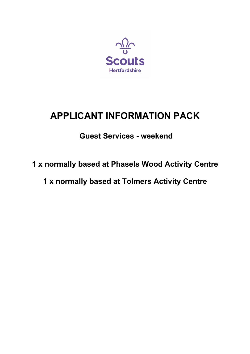

# **APPLICANT INFORMATION PACK**

## **Guest Services - weekend**

## **1 x normally based at Phasels Wood Activity Centre**

**1 x normally based at Tolmers Activity Centre**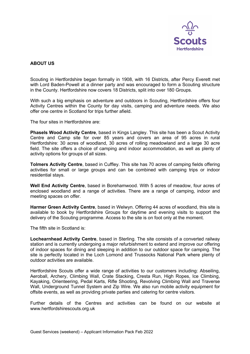

## **ABOUT US**

Scouting in Hertfordshire began formally in 1908, with 16 Districts, after Percy Everett met with Lord Baden-Powell at a dinner party and was encouraged to form a Scouting structure in the County. Hertfordshire now covers 18 Districts, split into over 180 Groups.

With such a big emphasis on adventure and outdoors in Scouting, Hertfordshire offers four Activity Centres within the County for day visits, camping and adventure needs. We also offer one centre in Scotland for trips further afield.

The four sites in Hertfordshire are:

**Phasels Wood Activity Centre**, based in Kings Langley. This site has been a Scout Activity Centre and Camp site for over 85 years and covers an area of 95 acres in rural Hertfordshire: 30 acres of woodland, 30 acres of rolling meadowland and a large 30 acre field. The site offers a choice of camping and indoor accommodation, as well as plenty of activity options for groups of all sizes.

**Tolmers Activity Centre**, based in Cuffley. This site has 70 acres of camping fields offering activities for small or large groups and can be combined with camping trips or indoor residential stavs.

**Well End Activity Centre**, based in Borehamwood. With 5 acres of meadow, four acres of enclosed woodland and a range of activities. There are a range of camping, indoor and meeting spaces on offer.

**Harmer Green Activity Centre**, based in Welwyn. Offering 44 acres of woodland, this site is available to book by Hertfordshire Groups for daytime and evening visits to support the delivery of the Scouting programme. Access to the site is on foot only at the moment.

The fifth site in Scotland is:

**Lochearnhead Activity Centre**, based in Sterling. The site consists of a converted railway station and is currently undergoing a major refurbishment to extend and improve our offering of indoor spaces for dining and sleeping in addition to our outdoor space for camping. The site is perfectly located in the Loch Lomond and Trussocks National Park where plenty of outdoor activities are available.

Hertfordshire Scouts offer a wide range of activities to our customers including: Abseiling, Aeroball, Archery, Climbing Wall, Crate Stacking, Cresta Run, High Ropes, Ice Climbing, Kayaking, Orienteering, Pedal Karts, Rifle Shooting, Revolving Climbing Wall and Traverse Wall, Underground Tunnel System and Zip Wire. We also run mobile activity equipment for offsite events, as well as providing private parties and catering for centre visitors.

Further details of the Centres and activities can be found on our website at www.hertfordshirescouts.org.uk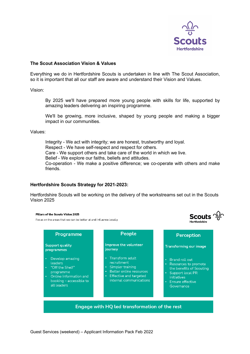

**Scouts**  $\frac{\sqrt{2}}{9}$ 

u<br>artfordebir

#### **The Scout Association Vision & Values**

Everything we do in Hertfordshire Scouts is undertaken in line with The Scout Association, so it is important that all our staff are aware and understand their Vision and Values.

Vision:

By 2025 we'll have prepared more young people with skills for life, supported by amazing leaders delivering an inspiring programme.

We'll be growing, more inclusive, shaped by young people and making a bigger impact in our communities.

Values:

Integrity - We act with integrity; we are honest, trustworthy and loyal. Respect - We have self-respect and respect for others. Care - We support others and take care of the world in which we live. Belief - We explore our faiths, beliefs and attitudes. Co-operation - We make a positive difference; we co-operate with others and make friends.

#### **Hertfordshire Scouts Strategy for 2021-2023:**

Hertfordshire Scouts will be working on the delivery of the workstreams set out in the Scouts Vision 2025

#### Pillars of the Scouts Vision 2025

Focus on the areas that we can be better at and influence locally

| Programme                                                                                                                                                     | People                                                                                                                                                                           | Perception                                                                                                                                                                      |
|---------------------------------------------------------------------------------------------------------------------------------------------------------------|----------------------------------------------------------------------------------------------------------------------------------------------------------------------------------|---------------------------------------------------------------------------------------------------------------------------------------------------------------------------------|
| <b>Support quality</b><br>programmes                                                                                                                          | Improve the volunteer<br>journey                                                                                                                                                 | <b>Transforming our image</b>                                                                                                                                                   |
| Develop amazing<br>$\bullet$<br>leaders<br>"Off the Shelf"<br>٠<br>programme<br>Online information and<br>$\bullet$<br>booking – accessible to<br>all leaders | Transform adult<br>recruitment<br>Simpler training<br>$\bullet$<br>Better online resources<br>$\bullet$<br><b>Effective and targeted</b><br>$\bullet$<br>internal communications | • Brand roll out<br>Resources to promote<br>$\bullet$<br>the benefits of Scouting<br>Support local PR<br>٠<br><i>initiatives</i><br>Ensure effective<br>$\bullet$<br>Governance |
|                                                                                                                                                               | Engage with HQ led transformation of the rest                                                                                                                                    |                                                                                                                                                                                 |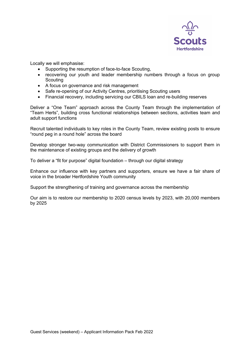

Locally we will emphasise:

- Supporting the resumption of face-to-face Scouting,
- recovering our youth and leader membership numbers through a focus on group **Scouting**
- A focus on governance and risk management
- Safe re-opening of our Activity Centres, prioritising Scouting users
- Financial recovery, including servicing our CBILS loan and re-building reserves

Deliver a "One Team" approach across the County Team through the implementation of "Team Herts", building cross functional relationships between sections, activities team and adult support functions

Recruit talented individuals to key roles in the County Team, review existing posts to ensure "round peg in a round hole" across the board

Develop stronger two-way communication with District Commissioners to support them in the maintenance of existing groups and the delivery of growth

To deliver a "fit for purpose" digital foundation – through our digital strategy

Enhance our influence with key partners and supporters, ensure we have a fair share of voice in the broader Hertfordshire Youth community

Support the strengthening of training and governance across the membership

Our aim is to restore our membership to 2020 census levels by 2023, with 20,000 members by 2025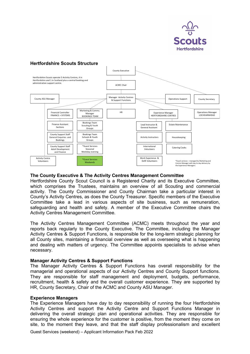

## **Hertfordshire Scouts Structure**



#### **The County Executive & The Activity Centres Management Committee**

Hertfordshire County Scout Council is a Registered Charity and its Executive Committee, which comprises the Trustees, maintains an overview of all Scouting and commercial activity. The County Commissioner and County Chairman take a particular interest in County's Activity Centres, as does the County Treasurer. Specific members of the Executive Committee take a lead in various aspects of site business, such as remuneration, safeguarding and health and safety. A member of the Executive Committee chairs the Activity Centres Management Committee.

The Activity Centres Management Committee (ACMC) meets throughout the year and reports back regularly to the County Executive. The Committee, including the Manager Activity Centres & Support Functions, is responsible for the long-term strategic planning for all County sites, maintaining a financial overview as well as overseeing what is happening and dealing with matters of urgency. The Committee appoints specialists to advise when necessary.

#### **Manager Activity Centres & Support Functions**

The Manager Activity Centres & Support Functions has overall responsibility for the managerial and operational aspects of our Activity Centres and County Support functions. They are responsible for staff management and deployment, budgets, performance, recruitment, health & safety and the overall customer experience. They are supported by HR, County Secretary, Chair of the ACMC and County ASU Manager.

#### **Experience Managers**

The Experience Managers have day to day responsibility of running the four Hertfordshire Activity Centres and support the Activity Centre and Support Functions Manager in delivering the overall strategic plan and operational activities. They are responsible for ensuring the whole experience for the customer is positive, from the moment they come on site, to the moment they leave, and that the staff display professionalism and excellent

Guest Services (weekend) – Applicant Information Pack Feb 2022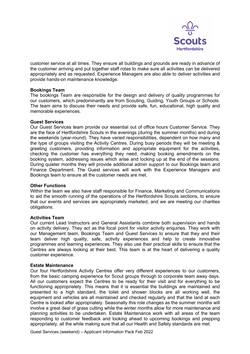

customer service at all times. They ensure all buildings and grounds are ready in advance of the customer arriving and put together staff rotas to make sure all activities can be delivered appropriately and as requested. Experience Managers are also able to deliver activities and provide hands-on maintenance knowledge.

#### **Bookings Team**

The bookings Team are responsible for the design and delivery of quality programmes for our customers, which predominantly are from Scouting, Guiding, Youth Groups or Schools. The team aims to discuss their needs and provide safe, fun, educational, high quality and memorable experiences.

#### **Guest Services**

Our Guest Services team provide our essential out of office hours Customer Service. They are the face of Hertfordshire Scouts in the evenings (during the summer months) and during the weekends (year-round). They have varied responsibilities, dependent on how many and the type of groups visiting the Activity Centres. During busy periods they will be meeting & greeting customers, providing information and appropriate equipment for the activities, checking the customer has everything they need, making booking amendments on the booking system, addressing issues which arise and locking up at the end of the sessions. During quieter months they will provide additional admin support to our Bookings team and Finance Department. The Guest services will work with the Experience Managers and Bookings team to ensure all the customer needs are met.

#### **Other Functions**

Within the team we also have staff responsible for Finance, Marketing and Communications to aid the smooth running of the operations of the Hertfordshire Scouts sections, to ensure that our events and services are appropriately marketed, and we are meeting our charities obligations.

#### **Activities Team**

Our current Lead Instructors and General Assistants combine both supervision and hands on activity delivery. They act as the focal point for visitor activity enquiries. They work with our Management team, Bookings Team and Guest Services to ensure that they and their team deliver high quality, safe, activity experiences and help to create innovative programmes and learning experiences. They also use their practical skills to ensure that the Centres are always looking at their best. This team is at the heart of delivering a quality customer experience.

#### **Estate Maintenance**

Our four Hertfordshire Activity Centres offer very different experiences to our customers, from the basic camping experience for Scout groups through to corporate team away days. All our customers expect the Centres to be ready for their visit and for everything to be functioning appropriately. This means that it is essential the buildings are maintained and presented to a high standard, the toilet and shower blocks are all working well, the equipment and vehicles are all maintained and checked regularly and that the land at each Centre is looked after appropriately. Seasonally this role changes as the summer months will involve a great deal of grass cutting while the winter months allow for more maintenance and planning activities to be undertaken. Estate Maintenance work with all areas of the team responding to customer feedback and looking ahead to upcoming bookings and prepping appropriately, all the while making sure that all our Health and Safety standards are met.

Guest Services (weekend) – Applicant Information Pack Feb 2022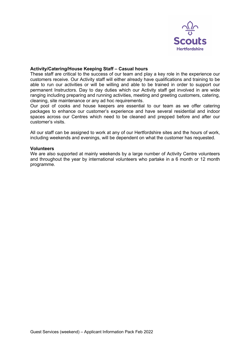

#### **Activity/Catering/House Keeping Staff – Casual hours**

These staff are critical to the success of our team and play a key role in the experience our customers receive. Our Activity staff will either already have qualifications and training to be able to run our activities or will be willing and able to be trained in order to support our permanent Instructors. Day to day duties which our Activity staff get involved in are wide ranging including preparing and running activities, meeting and greeting customers, catering, cleaning, site maintenance or any ad hoc requirements.

Our pool of cooks and house keepers are essential to our team as we offer catering packages to enhance our customer's experience and have several residential and indoor spaces across our Centres which need to be cleaned and prepped before and after our customer's visits.

All our staff can be assigned to work at any of our Hertfordshire sites and the hours of work, including weekends and evenings, will be dependent on what the customer has requested.

#### **Volunteers**

We are also supported at mainly weekends by a large number of Activity Centre volunteers and throughout the year by international volunteers who partake in a 6 month or 12 month programme.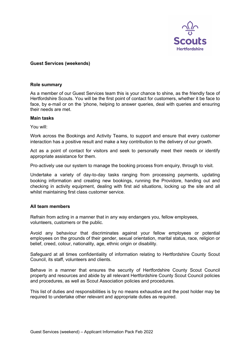

#### **Guest Services (weekends)**

#### **Role summary**

As a member of our Guest Services team this is your chance to shine, as the friendly face of Hertfordshire Scouts. You will be the first point of contact for customers, whether it be face to face, by e-mail or on the 'phone, helping to answer queries, deal with queries and ensuring their needs are met.

#### **Main tasks**

You will:

Work across the Bookings and Activity Teams, to support and ensure that every customer interaction has a positive result and make a key contribution to the delivery of our growth.

Act as a point of contact for visitors and seek to personally meet their needs or identify appropriate assistance for them.

Pro-actively use our system to manage the booking process from enquiry, through to visit.

Undertake a variety of day-to-day tasks ranging from processing payments, updating booking information and creating new bookings, running the Providore, handing out and checking in activity equipment, dealing with first aid situations, locking up the site and all whilst maintaining first class customer service.

#### **All team members**

Refrain from acting in a manner that in any way endangers you, fellow employees, volunteers, customers or the public.

Avoid any behaviour that discriminates against your fellow employees or potential employees on the grounds of their gender, sexual orientation, marital status, race, religion or belief, creed, colour, nationality, age, ethnic origin or disability.

Safeguard at all times confidentiality of information relating to Hertfordshire County Scout Council, its staff, volunteers and clients.

Behave in a manner that ensures the security of Hertfordshire County Scout Council property and resources and abide by all relevant Hertfordshire County Scout Council policies and procedures, as well as Scout Association policies and procedures.

This list of duties and responsibilities is by no means exhaustive and the post holder may be required to undertake other relevant and appropriate duties as required.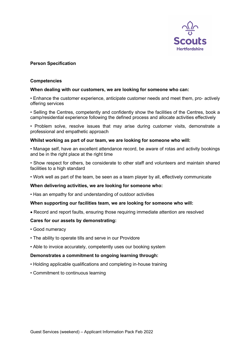

### **Person Specification**

#### **Competencies**

#### **When dealing with our customers, we are looking for someone who can:**

• Enhance the customer experience, anticipate customer needs and meet them, pro- actively offering services

• Selling the Centres, competently and confidently show the facilities of the Centres, book a camp/residential experience following the defined process and allocate activities effectively

• Problem solve, resolve issues that may arise during customer visits, demonstrate a professional and empathetic approach

#### **Whilst working as part of our team, we are looking for someone who will:**

• Manage self, have an excellent attendance record, be aware of rotas and activity bookings and be in the right place at the right time

• Show respect for others, be considerate to other staff and volunteers and maintain shared facilities to a high standard

• Work well as part of the team, be seen as a team player by all, effectively communicate

#### **When delivering activities, we are looking for someone who:**

• Has an empathy for and understanding of outdoor activities

#### **When supporting our facilities team, we are looking for someone who will:**

• Record and report faults, ensuring those requiring immediate attention are resolved

#### **Cares for our assets by demonstrating:**

- Good numeracy
- The ability to operate tills and serve in our Providore
- Able to invoice accurately, competently uses our booking system

#### **Demonstrates a commitment to ongoing learning through:**

- Holding applicable qualifications and completing in-house training
- Commitment to continuous learning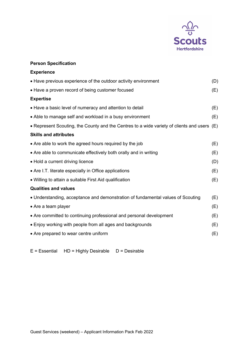

## **Person Specification**

| <b>Experience</b>                                                                             |     |
|-----------------------------------------------------------------------------------------------|-----|
| • Have previous experience of the outdoor activity environment                                | (D) |
| • Have a proven record of being customer focused                                              | (E) |
| <b>Expertise</b>                                                                              |     |
| • Have a basic level of numeracy and attention to detail                                      | (E) |
| • Able to manage self and workload in a busy environment                                      | (E) |
| • Represent Scouting, the County and the Centres to a wide variety of clients and users $(E)$ |     |
| <b>Skills and attributes</b>                                                                  |     |
| • Are able to work the agreed hours required by the job                                       | (E) |
| • Are able to communicate effectively both orally and in writing                              | (E) |
| • Hold a current driving licence                                                              | (D) |
| • Are I.T. literate especially in Office applications                                         | (E) |
| • Willing to attain a suitable First Aid qualification                                        | (E) |
| <b>Qualities and values</b>                                                                   |     |
| • Understanding, acceptance and demonstration of fundamental values of Scouting               | (E) |
| • Are a team player                                                                           | (E) |
| • Are committed to continuing professional and personal development                           | (E) |
| • Enjoy working with people from all ages and backgrounds                                     | (E) |
| • Are prepared to wear centre uniform                                                         | (E) |
|                                                                                               |     |

 $E = E$ ssential HD = Highly Desirable D = Desirable